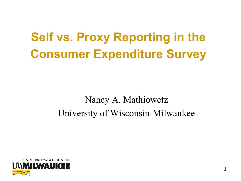# **Self vs. Proxy Reporting in the Consumer Expenditure Survey**

#### Nancy A. Mathiowetz University of Wisconsin-Milwaukee

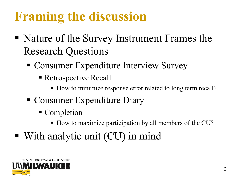# **Framing the discussion**

- Nature of the Survey Instrument Frames the Research Questions
	- Consumer Expenditure Interview Survey
		- Retrospective Recall
			- How to minimize response error related to long term recall?
	- Consumer Expenditure Diary
		- Completion
			- How to maximize participation by all members of the CU?
- With analytic unit (CU) in mind

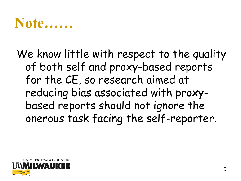#### **Note……**

#### We know little with respect to the quality of both self and proxy-based reports for the CE, so research aimed at reducing bias associated with proxybased reports should not ignore the onerous task facing the self-reporter.

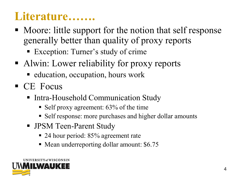#### **Literature…….**

- Moore: little support for the notion that self response generally better than quality of proxy reports
	- Exception: Turner's study of crime
- Alwin: Lower reliability for proxy reports
	- education, occupation, hours work
- CE Focus
	- Intra-Household Communication Study
		- Self proxy agreement: 63% of the time
		- Self response: more purchases and higher dollar amounts
	- **JPSM Teen-Parent Study** 
		- 24 hour period: 85% agreement rate
		- Mean underreporting dollar amount: \$6.75

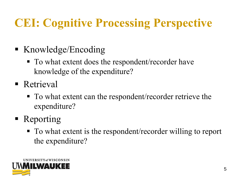# **CEI: Cognitive Processing Perspective**

- Knowledge/Encoding
	- To what extent does the respondent/recorder have knowledge of the expenditure?
- Retrieval
	- To what extent can the respondent/recorder retrieve the expenditure?
- Reporting
	- To what extent is the respondent/recorder willing to report the expenditure?

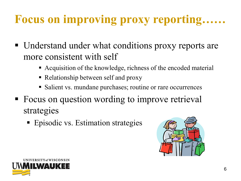# **Focus on improving proxy reporting……**

- Understand under what conditions proxy reports are more consistent with self
	- Acquisition of the knowledge, richness of the encoded material
	- Relationship between self and proxy
	- Salient vs. mundane purchases; routine or rare occurrences
- Focus on question wording to improve retrieval strategies
	- **Episodic vs. Estimation strategies**



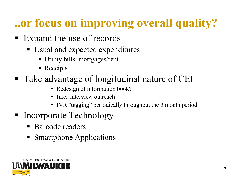# **..or focus on improving overall quality?**

- Expand the use of records
	- Usual and expected expenditures
		- Utility bills, mortgages/rent
		- Receipts
- Take advantage of longitudinal nature of CEI
	- Redesign of information book?
	- Inter-interview outreach
	- IVR "tagging" periodically throughout the 3 month period
- Incorporate Technology
	- **Barcode readers**
	- Smartphone Applications

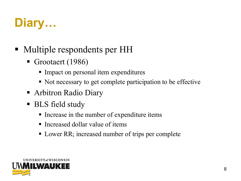## **Diary…**

- Multiple respondents per HH
	- Grootaert (1986)
		- Impact on personal item expenditures
		- Not necessary to get complete participation to be effective
	- Arbitron Radio Diary
	- BLS field study
		- Increase in the number of expenditure items
		- **Increased dollar value of items**
		- Lower RR; increased number of trips per complete

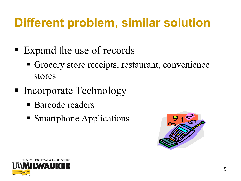# **Different problem, similar solution**

- Expand the use of records
	- Grocery store receipts, restaurant, convenience stores
- Incorporate Technology
	- **Barcode readers**
	- Smartphone Applications



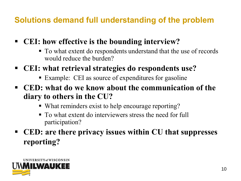#### **Solutions demand full understanding of the problem**

- **CEI: how effective is the bounding interview?**
	- $\blacksquare$  To what extent do respondents understand that the use of records would reduce the burden?
- **CEI: what retrieval strategies do respondents use?**
	- Example: CEI as source of expenditures for gasoline
- **CED: what do we know about the communication of the diary to others in the CU?**
	- What reminders exist to help encourage reporting?
	- To what extent do interviewers stress the need for full participation?
- **CED: are there privacy issues within CU that suppresses reporting?**

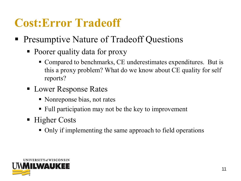#### **Cost:Error Tradeoff**

- Presumptive Nature of Tradeoff Questions
	- Poorer quality data for proxy
		- Compared to benchmarks, CE underestimates expenditures. But is this a proxy problem? What do we know about CE quality for self reports?
	- Lower Response Rates
		- Nonreponse bias, not rates
		- Full participation may not be the key to improvement
	- Higher Costs
		- Only if implementing the same approach to field operations

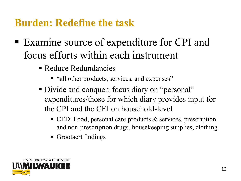#### **Burden: Redefine the task**

- Examine source of expenditure for CPI and focus efforts within each instrument
	- Reduce Redundancies
		- "all other products, services, and expenses"
	- Divide and conquer: focus diary on "personal" expenditures/those for which diary provides input for the CPI and the CEI on household-level
		- $\blacksquare$  CED: Food, personal care products & services, prescription and non-prescription drugs, housekeeping supplies, clothing
		- **Grootaert findings**

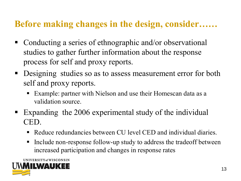#### **Before making changes in the design, consider……**

- Conducting a series of ethnographic and/or observational studies to gather further information about the response process for self and proxy reports.
- **Designing studies so as to assess measurement error for both** self and proxy reports.
	- Example: partner with Nielson and use their Homescan data as a validation source.
- Expanding the 2006 experimental study of the individual CED.
	- Reduce redundancies between CU level CED and individual diaries.
	- Include non-response follow-up study to address the tradeoff between increased participation and changes in response rates

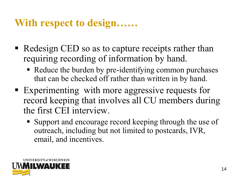#### **With respect to design……**

- Redesign CED so as to capture receipts rather than requiring recording of information by hand.
	- Reduce the burden by pre-identifying common purchases that can be checked off rather than written in by hand.
- Experimenting with more aggressive requests for record keeping that involves all CU members during the first CEI interview.
	- Support and encourage record keeping through the use of outreach, including but not limited to postcards, IVR, email, and incentives.